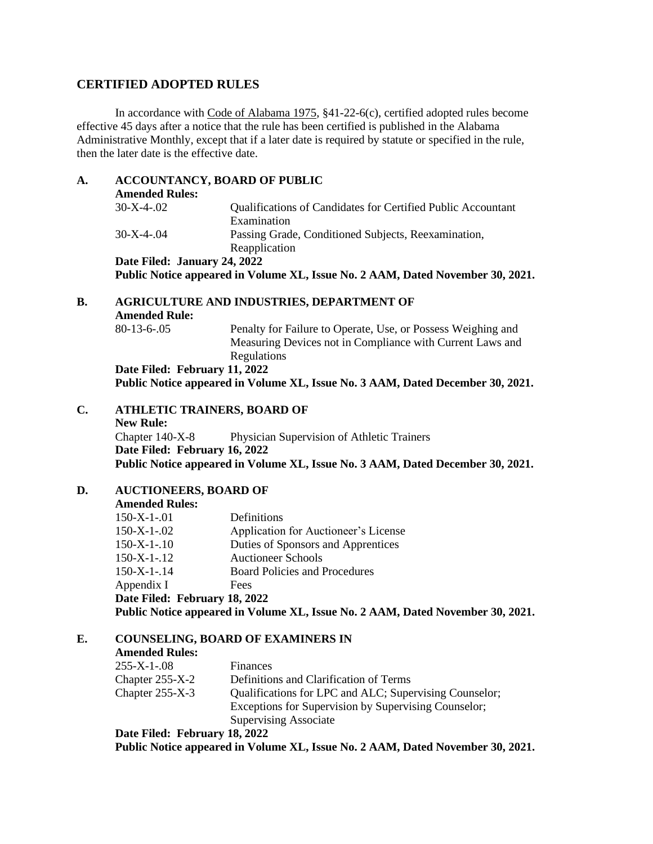## **CERTIFIED ADOPTED RULES**

In accordance with Code of Alabama 1975, §41-22-6(c), certified adopted rules become effective 45 days after a notice that the rule has been certified is published in the Alabama Administrative Monthly, except that if a later date is required by statute or specified in the rule, then the later date is the effective date.

| A.             | <b>ACCOUNTANCY, BOARD OF PUBLIC</b><br><b>Amended Rules:</b>             |                                                                                                                                                |  |  |
|----------------|--------------------------------------------------------------------------|------------------------------------------------------------------------------------------------------------------------------------------------|--|--|
|                | $30-X-4-02$                                                              | Qualifications of Candidates for Certified Public Accountant<br>Examination                                                                    |  |  |
|                | $30-X-4-04$                                                              | Passing Grade, Conditioned Subjects, Reexamination,<br>Reapplication                                                                           |  |  |
|                | Date Filed: January 24, 2022                                             |                                                                                                                                                |  |  |
|                |                                                                          | Public Notice appeared in Volume XL, Issue No. 2 AAM, Dated November 30, 2021.                                                                 |  |  |
| <b>B.</b>      | <b>AGRICULTURE AND INDUSTRIES, DEPARTMENT OF</b><br><b>Amended Rule:</b> |                                                                                                                                                |  |  |
|                | $80-13-6-.05$                                                            | Penalty for Failure to Operate, Use, or Possess Weighing and<br>Measuring Devices not in Compliance with Current Laws and<br>Regulations       |  |  |
|                | Date Filed: February 11, 2022                                            |                                                                                                                                                |  |  |
|                |                                                                          | Public Notice appeared in Volume XL, Issue No. 3 AAM, Dated December 30, 2021.                                                                 |  |  |
| $\mathbf{C}$ . | <b>ATHLETIC TRAINERS, BOARD OF</b><br><b>New Rule:</b>                   |                                                                                                                                                |  |  |
|                | Chapter 140-X-8                                                          | Physician Supervision of Athletic Trainers                                                                                                     |  |  |
|                | Date Filed: February 16, 2022                                            |                                                                                                                                                |  |  |
|                |                                                                          | Public Notice appeared in Volume XL, Issue No. 3 AAM, Dated December 30, 2021.                                                                 |  |  |
| D.             | <b>AUCTIONEERS, BOARD OF</b>                                             |                                                                                                                                                |  |  |
|                | <b>Amended Rules:</b>                                                    |                                                                                                                                                |  |  |
|                | $150-X-1-01$                                                             | Definitions                                                                                                                                    |  |  |
|                | $150-X-1-02$                                                             | Application for Auctioneer's License                                                                                                           |  |  |
|                | $150-X-1-10$                                                             | Duties of Sponsors and Apprentices                                                                                                             |  |  |
|                | $150-X-1-12$                                                             | <b>Auctioneer Schools</b>                                                                                                                      |  |  |
|                | $150-X-1-14$                                                             | <b>Board Policies and Procedures</b>                                                                                                           |  |  |
|                | Appendix I                                                               | Fees                                                                                                                                           |  |  |
|                | Date Filed: February 18, 2022                                            |                                                                                                                                                |  |  |
|                |                                                                          | Public Notice appeared in Volume XL, Issue No. 2 AAM, Dated November 30, 2021.                                                                 |  |  |
| Е.             | <b>COUNSELING, BOARD OF EXAMINERS IN</b>                                 |                                                                                                                                                |  |  |
|                | <b>Amended Rules:</b>                                                    |                                                                                                                                                |  |  |
|                | $255-X-1-08$                                                             | Finances                                                                                                                                       |  |  |
|                | Chapter 255-X-2                                                          | Definitions and Clarification of Terms                                                                                                         |  |  |
|                | Chapter 255-X-3                                                          | Qualifications for LPC and ALC; Supervising Counselor;<br>Exceptions for Supervision by Supervising Counselor;<br><b>Supervising Associate</b> |  |  |
|                | Date Filed: February 18, 2022                                            |                                                                                                                                                |  |  |

**Public Notice appeared in Volume XL, Issue No. 2 AAM, Dated November 30, 2021.**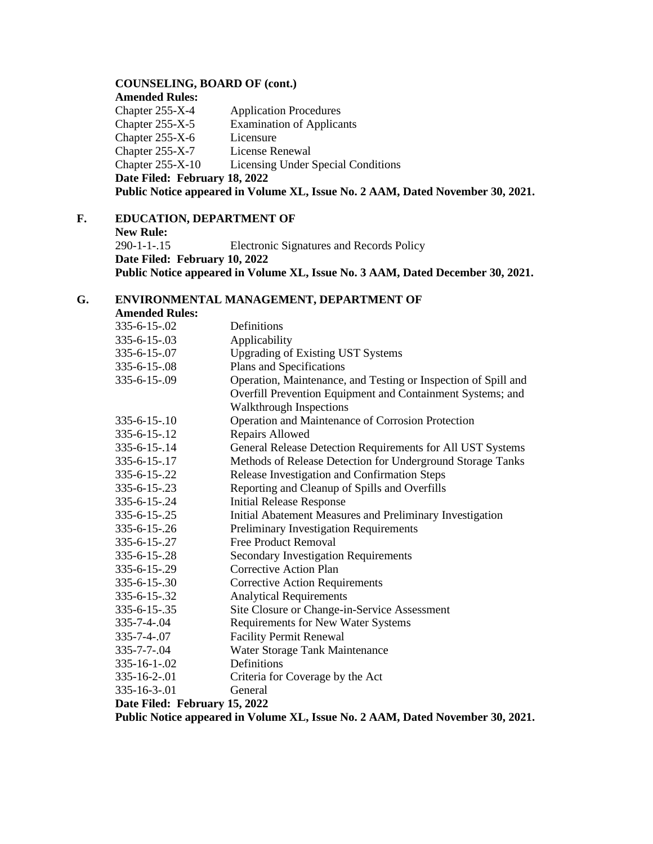#### **COUNSELING, BOARD OF (cont.)**

**Amended Rules:** Chapter 255-X-4 Application Procedures<br>Chapter 255-X-5 Examination of Applica Examination of Applicants Chapter 255-X-6 Licensure Chapter 255-X-7 License Renewal Chapter 255-X-10 Licensing Under Special Conditions **Date Filed: February 18, 2022 Public Notice appeared in Volume XL, Issue No. 2 AAM, Dated November 30, 2021.**

### **F. EDUCATION, DEPARTMENT OF**

**New Rule:**

290-1-1-.15 Electronic Signatures and Records Policy **Date Filed: February 10, 2022 Public Notice appeared in Volume XL, Issue No. 3 AAM, Dated December 30, 2021.**

## **G. ENVIRONMENTAL MANAGEMENT, DEPARTMENT OF**

**Amended Rules:**

| 335-6-15-.02                                                                   | Definitions                                                    |  |
|--------------------------------------------------------------------------------|----------------------------------------------------------------|--|
| $335 - 6 - 15 - 03$                                                            | Applicability                                                  |  |
| 335-6-15-.07                                                                   | <b>Upgrading of Existing UST Systems</b>                       |  |
| 335-6-15-.08                                                                   | Plans and Specifications                                       |  |
| 335-6-15-.09                                                                   | Operation, Maintenance, and Testing or Inspection of Spill and |  |
|                                                                                | Overfill Prevention Equipment and Containment Systems; and     |  |
|                                                                                | Walkthrough Inspections                                        |  |
| $335 - 6 - 15 - 10$                                                            | Operation and Maintenance of Corrosion Protection              |  |
| $335 - 6 - 15 - 12$                                                            | Repairs Allowed                                                |  |
| 335-6-15-.14                                                                   | General Release Detection Requirements for All UST Systems     |  |
| $335 - 6 - 15 - 17$                                                            | Methods of Release Detection for Underground Storage Tanks     |  |
| 335-6-15-.22                                                                   | Release Investigation and Confirmation Steps                   |  |
| $335 - 6 - 15 - 23$                                                            | Reporting and Cleanup of Spills and Overfills                  |  |
| 335-6-15-.24                                                                   | <b>Initial Release Response</b>                                |  |
| 335-6-15-.25                                                                   | Initial Abatement Measures and Preliminary Investigation       |  |
| 335-6-15-.26                                                                   | <b>Preliminary Investigation Requirements</b>                  |  |
| 335-6-15-.27                                                                   | <b>Free Product Removal</b>                                    |  |
| 335-6-15-.28                                                                   | <b>Secondary Investigation Requirements</b>                    |  |
| 335-6-15-.29                                                                   | <b>Corrective Action Plan</b>                                  |  |
| $335 - 6 - 15 - 30$                                                            | <b>Corrective Action Requirements</b>                          |  |
| 335-6-15-.32                                                                   | <b>Analytical Requirements</b>                                 |  |
| 335-6-15-.35                                                                   | Site Closure or Change-in-Service Assessment                   |  |
| 335-7-4-.04                                                                    | Requirements for New Water Systems                             |  |
| 335-7-4-.07                                                                    | <b>Facility Permit Renewal</b>                                 |  |
| $335 - 7 - 7 - 04$                                                             | Water Storage Tank Maintenance                                 |  |
| $335 - 16 - 1 - 02$                                                            | Definitions                                                    |  |
| 335-16-2-.01                                                                   | Criteria for Coverage by the Act                               |  |
| 335-16-3-.01                                                                   | General                                                        |  |
| Date Filed: February 15, 2022                                                  |                                                                |  |
| Public Notice appeared in Volume XL, Issue No. 2 AAM, Dated November 30, 2021. |                                                                |  |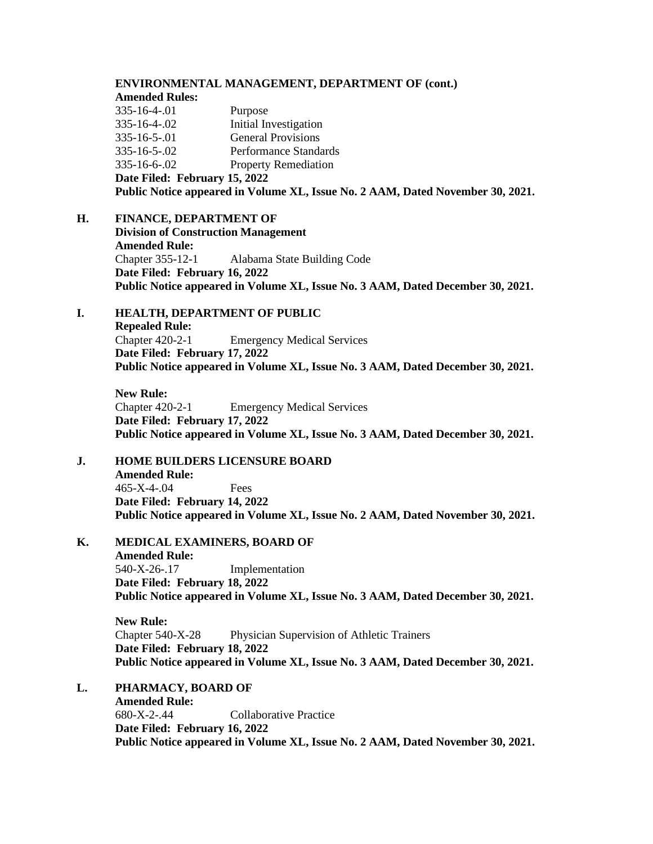#### **ENVIRONMENTAL MANAGEMENT, DEPARTMENT OF (cont.) Amended Rules:** 335-16-4-.01 Purpose 335-16-4-.02 Initial Investigation 335-16-5-.01 General Provisions 335-16-5-.02 Performance Standards 335-16-6-.02 Property Remediation **Date Filed: February 15, 2022 Public Notice appeared in Volume XL, Issue No. 2 AAM, Dated November 30, 2021.**

**H. FINANCE, DEPARTMENT OF**

**Division of Construction Management Amended Rule:** Chapter 355-12-1 Alabama State Building Code **Date Filed: February 16, 2022 Public Notice appeared in Volume XL, Issue No. 3 AAM, Dated December 30, 2021.**

### **I. HEALTH, DEPARTMENT OF PUBLIC Repealed Rule:** Chapter 420-2-1 Emergency Medical Services **Date Filed: February 17, 2022 Public Notice appeared in Volume XL, Issue No. 3 AAM, Dated December 30, 2021.**

**New Rule:** Chapter 420-2-1 Emergency Medical Services **Date Filed: February 17, 2022 Public Notice appeared in Volume XL, Issue No. 3 AAM, Dated December 30, 2021.**

### **J. HOME BUILDERS LICENSURE BOARD Amended Rule:** 465-X-4-.04 Fees **Date Filed: February 14, 2022 Public Notice appeared in Volume XL, Issue No. 2 AAM, Dated November 30, 2021.**

**K. MEDICAL EXAMINERS, BOARD OF Amended Rule:** 540-X-26-.17 Implementation **Date Filed: February 18, 2022 Public Notice appeared in Volume XL, Issue No. 3 AAM, Dated December 30, 2021.**

**New Rule:** Chapter 540-X-28 Physician Supervision of Athletic Trainers **Date Filed: February 18, 2022 Public Notice appeared in Volume XL, Issue No. 3 AAM, Dated December 30, 2021.**

# **L. PHARMACY, BOARD OF**

**Amended Rule:** 680-X-2-.44 Collaborative Practice **Date Filed: February 16, 2022 Public Notice appeared in Volume XL, Issue No. 2 AAM, Dated November 30, 2021.**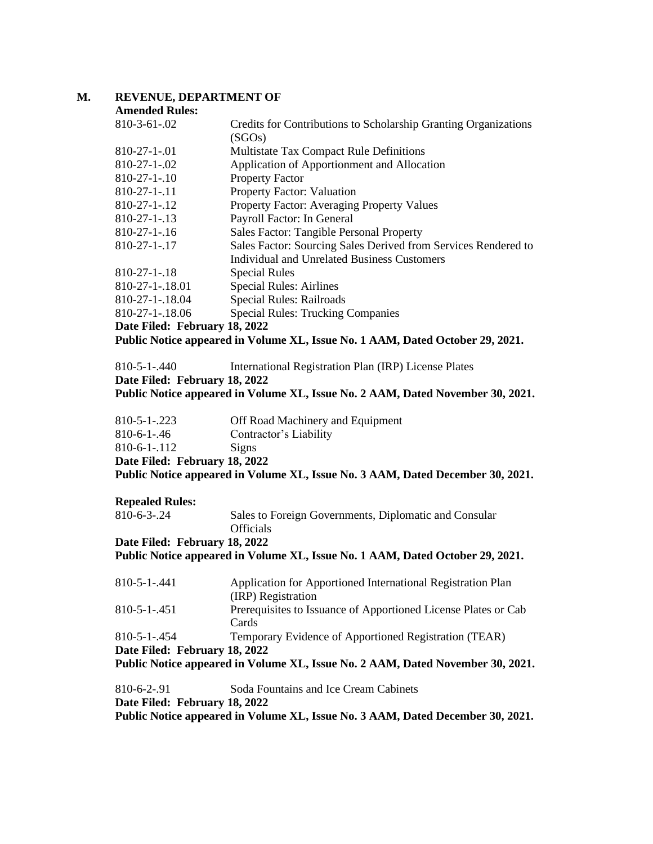### **M. REVENUE, DEPARTMENT OF**

| <b>Amended Rules:</b> |  |
|-----------------------|--|
|-----------------------|--|

| $810-3-61-02$                                                                 | Credits for Contributions to Scholarship Granting Organizations<br>(SGOs) |  |
|-------------------------------------------------------------------------------|---------------------------------------------------------------------------|--|
| $810 - 27 - 1 - 01$                                                           | <b>Multistate Tax Compact Rule Definitions</b>                            |  |
| $810 - 27 - 1 - 02$                                                           | Application of Apportionment and Allocation                               |  |
| $810-27-1-10$                                                                 | <b>Property Factor</b>                                                    |  |
| $810-27-1-.11$                                                                | <b>Property Factor: Valuation</b>                                         |  |
| $810-27-1-.12$                                                                | Property Factor: Averaging Property Values                                |  |
| $810 - 27 - 1 - 13$                                                           | Payroll Factor: In General                                                |  |
| $810-27-1-.16$                                                                | Sales Factor: Tangible Personal Property                                  |  |
| $810-27-1-.17$                                                                | Sales Factor: Sourcing Sales Derived from Services Rendered to            |  |
|                                                                               | Individual and Unrelated Business Customers                               |  |
| $810 - 27 - 1 - 18$                                                           | <b>Special Rules</b>                                                      |  |
| 810-27-1-.18.01                                                               | <b>Special Rules: Airlines</b>                                            |  |
| 810-27-1-18.04                                                                | Special Rules: Railroads                                                  |  |
| 810-27-1-.18.06                                                               | <b>Special Rules: Trucking Companies</b>                                  |  |
| Date Filed: February 18, 2022                                                 |                                                                           |  |
| Public Notice appeared in Volume XL, Issue No. 1 AAM, Dated October 29, 2021. |                                                                           |  |

810-5-1-.440 International Registration Plan (IRP) License Plates **Date Filed: February 18, 2022**

**Public Notice appeared in Volume XL, Issue No. 2 AAM, Dated November 30, 2021.**

| $810 - 5 - 1 - 223$           | Off Road Machinery and Equipment |
|-------------------------------|----------------------------------|
| $810-6-1-.46$                 | Contractor's Liability           |
| $810-6-1-112$                 | Signs                            |
| Date Filed: February 18, 2022 |                                  |

**Public Notice appeared in Volume XL, Issue No. 3 AAM, Dated December 30, 2021.**

#### **Repealed Rules:**

| $810-6-3-.24$ | Sales to Foreign Governments, Diplomatic and Consular |
|---------------|-------------------------------------------------------|
|               | <b>Officials</b>                                      |

**Date Filed: February 18, 2022**

**Public Notice appeared in Volume XL, Issue No. 1 AAM, Dated October 29, 2021.**

| Public Notice appeared in Volume XL, Issue No. 2 AAM, Dated November 30, 2021. |                                                                |  |
|--------------------------------------------------------------------------------|----------------------------------------------------------------|--|
| Date Filed: February 18, 2022                                                  |                                                                |  |
| $810 - 5 - 1 - 454$                                                            | Temporary Evidence of Apportioned Registration (TEAR)          |  |
|                                                                                | Cards                                                          |  |
| $810 - 5 - 1 - 451$                                                            | Prerequisites to Issuance of Apportioned License Plates or Cab |  |
|                                                                                | (IRP) Registration                                             |  |
| 810-5-1-.441                                                                   | Application for Apportioned International Registration Plan    |  |

| $810-6-2-91$                  | Soda Fountains and Ice Cream Cabinets                                          |
|-------------------------------|--------------------------------------------------------------------------------|
| Date Filed: February 18, 2022 |                                                                                |
|                               | Public Notice appeared in Volume XL, Issue No. 3 AAM, Dated December 30, 2021. |